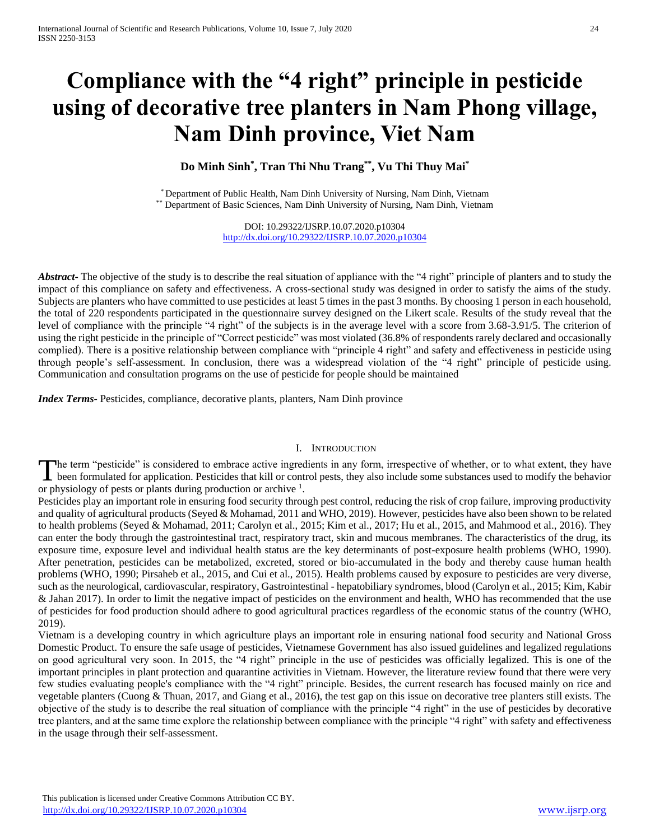# **Compliance with the "4 right" principle in pesticide using of decorative tree planters in Nam Phong village, Nam Dinh province, Viet Nam**

**Do Minh Sinh\* , Tran Thi Nhu Trang\*\*, Vu Thi Thuy Mai\***

\* Department of Public Health, Nam Dinh University of Nursing, Nam Dinh, Vietnam \*\* Department of Basic Sciences, Nam Dinh University of Nursing, Nam Dinh, Vietnam

> DOI: 10.29322/IJSRP.10.07.2020.p10304 <http://dx.doi.org/10.29322/IJSRP.10.07.2020.p10304>

*Abstract* The objective of the study is to describe the real situation of appliance with the "4 right" principle of planters and to study the impact of this compliance on safety and effectiveness. A cross-sectional study was designed in order to satisfy the aims of the study. Subjects are planters who have committed to use pesticides at least 5 times in the past 3 months. By choosing 1 person in each household, the total of 220 respondents participated in the questionnaire survey designed on the Likert scale. Results of the study reveal that the level of compliance with the principle "4 right" of the subjects is in the average level with a score from 3.68-3.91/5. The criterion of using the right pesticide in the principle of "Correct pesticide" was most violated (36.8% of respondents rarely declared and occasionally complied). There is a positive relationship between compliance with "principle 4 right" and safety and effectiveness in pesticide using through people's self-assessment. In conclusion, there was a widespread violation of the "4 right" principle of pesticide using. Communication and consultation programs on the use of pesticide for people should be maintained

*Index Terms*- Pesticides, compliance, decorative plants, planters, Nam Dinh province

# I. INTRODUCTION

The term "pesticide" is considered to embrace active ingredients in any form, irrespective of whether, or to what extent, they have The term "pesticide" is considered to embrace active ingredients in any form, irrespective of whether, or to what extent, they have been formulated for application. Pesticides that kill or control pests, they also include or physiology of pests or plants during production or archive <sup>1</sup>.

Pesticides play an important role in ensuring food security through pest control, reducing the risk of crop failure, improving productivity and quality of agricultural products (Seyed & Mohamad, 2011 and WHO, 2019). However, pesticides have also been shown to be related to health problems (Seyed & Mohamad, 2011; Carolyn et al., 2015; Kim et al., 2017; Hu et al., 2015, and Mahmood et al., 2016). They can enter the body through the gastrointestinal tract, respiratory tract, skin and mucous membranes. The characteristics of the drug, its exposure time, exposure level and individual health status are the key determinants of post-exposure health problems (WHO, 1990). After penetration, pesticides can be metabolized, excreted, stored or bio-accumulated in the body and thereby cause human health problems (WHO, 1990; Pirsaheb et al., 2015, and Cui et al., 2015). Health problems caused by exposure to pesticides are very diverse, such as the neurological, cardiovascular, respiratory, Gastrointestinal - hepatobiliary syndromes, blood (Carolyn et al., 2015; Kim, Kabir & Jahan 2017). In order to limit the negative impact of pesticides on the environment and health, WHO has recommended that the use of pesticides for food production should adhere to good agricultural practices regardless of the economic status of the country (WHO, 2019).

Vietnam is a developing country in which agriculture plays an important role in ensuring national food security and National Gross Domestic Product. To ensure the safe usage of pesticides, Vietnamese Government has also issued guidelines and legalized regulations on good agricultural very soon. In 2015, the "4 right" principle in the use of pesticides was officially legalized. This is one of the important principles in plant protection and quarantine activities in Vietnam. However, the literature review found that there were very few studies evaluating people's compliance with the "4 right" principle. Besides, the current research has focused mainly on rice and vegetable planters (Cuong  $&$  Thuan, 2017, and Giang et al., 2016), the test gap on this issue on decorative tree planters still exists. The objective of the study is to describe the real situation of compliance with the principle "4 right" in the use of pesticides by decorative tree planters, and at the same time explore the relationship between compliance with the principle "4 right" with safety and effectiveness in the usage through their self-assessment.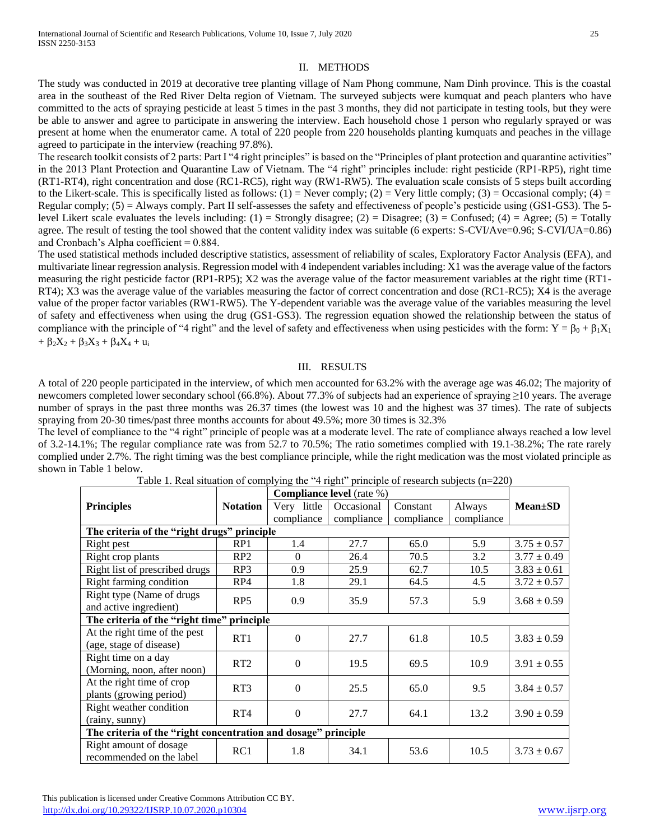# II. METHODS

The study was conducted in 2019 at decorative tree planting village of Nam Phong commune, Nam Dinh province. This is the coastal area in the southeast of the Red River Delta region of Vietnam. The surveyed subjects were kumquat and peach planters who have committed to the acts of spraying pesticide at least 5 times in the past 3 months, they did not participate in testing tools, but they were be able to answer and agree to participate in answering the interview. Each household chose 1 person who regularly sprayed or was present at home when the enumerator came. A total of 220 people from 220 households planting kumquats and peaches in the village agreed to participate in the interview (reaching 97.8%).

The research toolkit consists of 2 parts: Part I "4 right principles" is based on the "Principles of plant protection and quarantine activities" in the 2013 Plant Protection and Quarantine Law of Vietnam. The "4 right" principles include: right pesticide (RP1-RP5), right time (RT1-RT4), right concentration and dose (RC1-RC5), right way (RW1-RW5). The evaluation scale consists of 5 steps built according to the Likert-scale. This is specifically listed as follows:  $(1)$  = Never comply;  $(2)$  = Very little comply;  $(3)$  = Occasional comply;  $(4)$  = Regular comply; (5) = Always comply. Part II self-assesses the safety and effectiveness of people's pesticide using (GS1-GS3). The 5 level Likert scale evaluates the levels including: (1) = Strongly disagree; (2) = Disagree; (3) = Confused; (4) = Agree; (5) = Totally agree. The result of testing the tool showed that the content validity index was suitable (6 experts: S-CVI/Ave=0.96; S-CVI/UA=0.86) and Cronbach's Alpha coefficient = 0.884.

The used statistical methods included descriptive statistics, assessment of reliability of scales, Exploratory Factor Analysis (EFA), and multivariate linear regression analysis. Regression model with 4 independent variables including: X1 was the average value of the factors measuring the right pesticide factor (RP1-RP5); X2 was the average value of the factor measurement variables at the right time (RT1- RT4); X3 was the average value of the variables measuring the factor of correct concentration and dose (RC1-RC5); X4 is the average value of the proper factor variables (RW1-RW5). The Y-dependent variable was the average value of the variables measuring the level of safety and effectiveness when using the drug (GS1-GS3). The regression equation showed the relationship between the status of compliance with the principle of "4 right" and the level of safety and effectiveness when using pesticides with the form:  $Y = \beta_0 + \beta_1 X_1$  $+ \beta_2 X_2 + \beta_3 X_3 + \beta_4 X_4 + u_i$ 

# III. RESULTS

A total of 220 people participated in the interview, of which men accounted for 63.2% with the average age was 46.02; The majority of newcomers completed lower secondary school (66.8%). About 77.3% of subjects had an experience of spraying ≥10 years. The average number of sprays in the past three months was 26.37 times (the lowest was 10 and the highest was 37 times). The rate of subjects spraying from 20-30 times/past three months accounts for about 49.5%; more 30 times is 32.3%

The level of compliance to the "4 right" principle of people was at a moderate level. The rate of compliance always reached a low level of 3.2-14.1%; The regular compliance rate was from 52.7 to 70.5%; The ratio sometimes complied with 19.1-38.2%; The rate rarely complied under 2.7%. The right timing was the best compliance principle, while the right medication was the most violated principle as shown in Table 1 below.

|                                                                |                 | <b>Compliance level</b> (rate %) |            |            |            |                 |  |
|----------------------------------------------------------------|-----------------|----------------------------------|------------|------------|------------|-----------------|--|
| <b>Principles</b>                                              | <b>Notation</b> | Very little                      | Occasional | Constant   | Always     | $Mean \pm SD$   |  |
|                                                                |                 | compliance                       | compliance | compliance | compliance |                 |  |
| The criteria of the "right drugs" principle                    |                 |                                  |            |            |            |                 |  |
| Right pest                                                     | RP1             | 1.4                              | 27.7       | 65.0       | 5.9        | $3.75 \pm 0.57$ |  |
| Right crop plants                                              | RP2             | $\Omega$                         | 26.4       | 70.5       | 3.2        | $3.77 \pm 0.49$ |  |
| Right list of prescribed drugs                                 | RP3             | 0.9                              | 25.9       | 62.7       | 10.5       | $3.83 \pm 0.61$ |  |
| Right farming condition                                        | RP4             | 1.8                              | 29.1       | 64.5       | 4.5        | $3.72 \pm 0.57$ |  |
| Right type (Name of drugs)                                     |                 | 0.9                              | 35.9       | 57.3       | 5.9        | $3.68 \pm 0.59$ |  |
| and active ingredient)                                         | RP <sub>5</sub> |                                  |            |            |            |                 |  |
| The criteria of the "right time"<br>principle                  |                 |                                  |            |            |            |                 |  |
| At the right time of the pest                                  | RT1             | $\theta$                         | 27.7       | 61.8       | 10.5       | $3.83 \pm 0.59$ |  |
| (age, stage of disease)                                        |                 |                                  |            |            |            |                 |  |
| Right time on a day                                            | RT2             | $\Omega$                         | 19.5       | 69.5       | 10.9       | $3.91 \pm 0.55$ |  |
| (Morning, noon, after noon)                                    |                 |                                  |            |            |            |                 |  |
| At the right time of crop                                      | RT <sub>3</sub> | $\Omega$                         | 25.5       | 65.0       | 9.5        | $3.84 \pm 0.57$ |  |
| plants (growing period)                                        |                 |                                  |            |            |            |                 |  |
| Right weather condition                                        | RT4             | $\Omega$                         | 27.7       | 64.1       | 13.2       | $3.90 \pm 0.59$ |  |
| (rainy, sunny)                                                 |                 |                                  |            |            |            |                 |  |
| The criteria of the "right concentration and dosage" principle |                 |                                  |            |            |            |                 |  |
| Right amount of dosage                                         | RC1             | 1.8                              | 34.1       | 53.6       | 10.5       | $3.73 \pm 0.67$ |  |
| recommended on the label                                       |                 |                                  |            |            |            |                 |  |

Table 1. Real situation of complying the "4 right" principle of research subjects (n=220)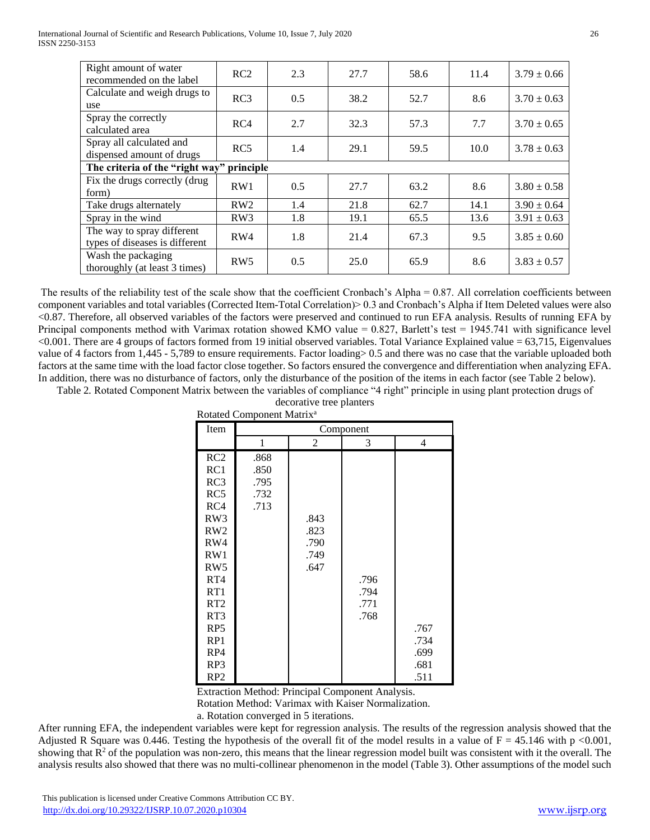| Right amount of water<br>recommended on the label            | RC2 | 2.3 | 27.7 | 58.6 | 11.4 | $3.79 \pm 0.66$ |  |
|--------------------------------------------------------------|-----|-----|------|------|------|-----------------|--|
| Calculate and weigh drugs to<br>use                          | RC3 | 0.5 | 38.2 | 52.7 | 8.6  | $3.70 \pm 0.63$ |  |
| Spray the correctly<br>calculated area                       | RC4 | 2.7 | 32.3 | 57.3 | 7.7  | $3.70 \pm 0.65$ |  |
| Spray all calculated and<br>dispensed amount of drugs        | RC5 | 1.4 | 29.1 | 59.5 | 10.0 | $3.78 \pm 0.63$ |  |
| The criteria of the "right way"<br>principle                 |     |     |      |      |      |                 |  |
| Fix the drugs correctly (drug<br>form)                       | RW1 | 0.5 | 27.7 | 63.2 | 8.6  | $3.80 \pm 0.58$ |  |
| Take drugs alternately                                       | RW2 | 1.4 | 21.8 | 62.7 | 14.1 | $3.90 \pm 0.64$ |  |
| Spray in the wind                                            | RW3 | 1.8 | 19.1 | 65.5 | 13.6 | $3.91 \pm 0.63$ |  |
| The way to spray different<br>types of diseases is different | RW4 | 1.8 | 21.4 | 67.3 | 9.5  | $3.85 \pm 0.60$ |  |
| Wash the packaging<br>thoroughly (at least 3 times)          | RW5 | 0.5 | 25.0 | 65.9 | 8.6  | $3.83 \pm 0.57$ |  |

The results of the reliability test of the scale show that the coefficient Cronbach's Alpha = 0.87. All correlation coefficients between component variables and total variables (Corrected Item-Total Correlation)> 0.3 and Cronbach's Alpha if Item Deleted values were also <0.87. Therefore, all observed variables of the factors were preserved and continued to run EFA analysis. Results of running EFA by Principal components method with Varimax rotation showed KMO value =  $0.827$ , Barlett's test = 1945.741 with significance level  $< 0.001$ . There are 4 groups of factors formed from 19 initial observed variables. Total Variance Explained value = 63,715, Eigenvalues value of 4 factors from 1,445 - 5,789 to ensure requirements. Factor loading> 0.5 and there was no case that the variable uploaded both factors at the same time with the load factor close together. So factors ensured the convergence and differentiation when analyzing EFA. In addition, there was no disturbance of factors, only the disturbance of the position of the items in each factor (see Table 2 below).

Table 2*.* Rotated Component Matrix between the variables of compliance "4 right" principle in using plant protection drugs of decorative tree planters

| Rotated Component Matrix <sup>a</sup> |              |      |      |      |  |  |  |
|---------------------------------------|--------------|------|------|------|--|--|--|
| Item                                  | Component    |      |      |      |  |  |  |
|                                       | 1            | 2    | 3    | 4    |  |  |  |
| RC2<br>RC1                            | .868<br>.850 |      |      |      |  |  |  |
| RC3                                   | .795         |      |      |      |  |  |  |
| RC5                                   | .732         |      |      |      |  |  |  |
| RC4                                   | .713         |      |      |      |  |  |  |
| RW3                                   |              | .843 |      |      |  |  |  |
| RW <sub>2</sub>                       |              | .823 |      |      |  |  |  |
| RW4                                   |              | .790 |      |      |  |  |  |
| RW1                                   |              | .749 |      |      |  |  |  |
| RW <sub>5</sub>                       |              | .647 |      |      |  |  |  |
| RT4                                   |              |      | .796 |      |  |  |  |
| RT1                                   |              |      | .794 |      |  |  |  |
| RT2                                   |              |      | .771 |      |  |  |  |
| RT3                                   |              |      | .768 |      |  |  |  |
| RP <sub>5</sub>                       |              |      |      | .767 |  |  |  |
| RP1                                   |              |      |      | .734 |  |  |  |
| RP4                                   |              |      |      | .699 |  |  |  |
| RP3                                   |              |      |      | .681 |  |  |  |
| RP <sub>2</sub>                       |              |      |      | .511 |  |  |  |

Extraction Method: Principal Component Analysis.

Rotation Method: Varimax with Kaiser Normalization.

a. Rotation converged in 5 iterations.

After running EFA, the independent variables were kept for regression analysis. The results of the regression analysis showed that the Adjusted R Square was 0.446. Testing the hypothesis of the overall fit of the model results in a value of  $F = 45.146$  with p <0.001, showing that  $R<sup>2</sup>$  of the population was non-zero, this means that the linear regression model built was consistent with it the overall. The analysis results also showed that there was no multi-collinear phenomenon in the model (Table 3). Other assumptions of the model such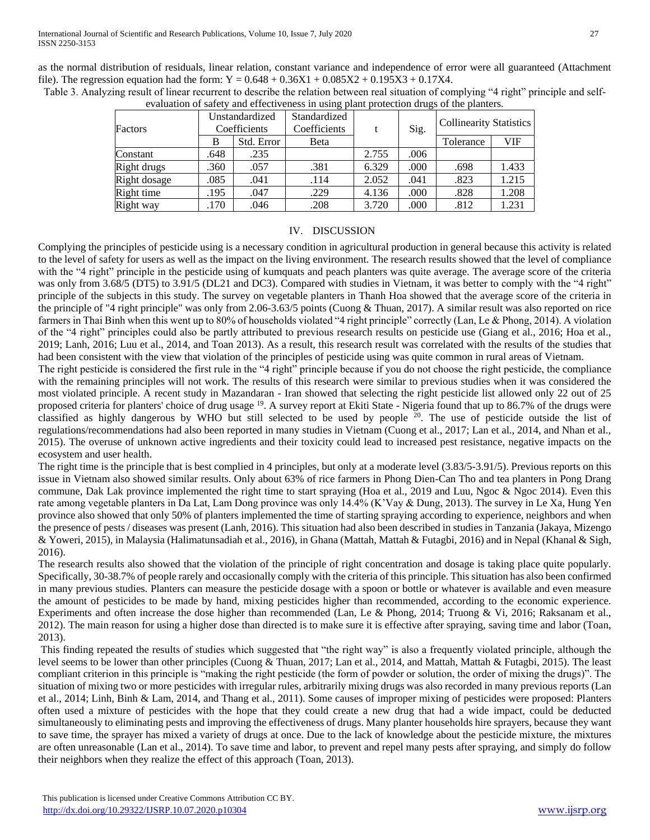as the normal distribution of residuals, linear relation, constant variance and independence of error were all guaranteed (Attachment file). The regression equation had the form:  $Y = 0.648 + 0.36X1 + 0.085X2 + 0.195X3 + 0.17X4$ .

| $\alpha$ contained by since $\gamma$ and check veness in asing plant protection drugs of the planters. |                                |            |                              |       |      |                                |            |
|--------------------------------------------------------------------------------------------------------|--------------------------------|------------|------------------------------|-------|------|--------------------------------|------------|
| Factors                                                                                                | Unstandardized<br>Coefficients |            | Standardized<br>Coefficients |       | Sig. | <b>Collinearity Statistics</b> |            |
|                                                                                                        | B                              | Std. Error | Beta                         |       |      | Tolerance                      | <b>VIF</b> |
| Constant                                                                                               | .648                           | .235       |                              | 2.755 | .006 |                                |            |
| Right drugs                                                                                            | .360                           | .057       | .381                         | 6.329 | .000 | .698                           | 1.433      |
| Right dosage                                                                                           | .085                           | .041       | .114                         | 2.052 | .041 | .823                           | 1.215      |
| Right time                                                                                             | .195                           | .047       | .229                         | 4.136 | .000 | .828                           | 1.208      |
| Right way                                                                                              | .170                           | .046       | .208                         | 3.720 | .000 | .812                           | 1.231      |

Table 3. Analyzing result of linear recurrent to describe the relation between real situation of complying "4 right" principle and selfevaluation of safety and effectiveness in using plant protection drugs of the planters.

# IV. DISCUSSION

Complying the principles of pesticide using is a necessary condition in agricultural production in general because this activity is related to the level of safety for users as well as the impact on the living environment. The research results showed that the level of compliance with the "4 right" principle in the pesticide using of kumquats and peach planters was quite average. The average score of the criteria was only from 3.68/5 (DT5) to 3.91/5 (DL21 and DC3). Compared with studies in Vietnam, it was better to comply with the "4 right" principle of the subjects in this study. The survey on vegetable planters in Thanh Hoa showed that the average score of the criteria in the principle of "4 right principle" was only from 2.06-3.63/5 points (Cuong & Thuan, 2017). A similar result was also reported on rice farmers in Thai Binh when this went up to 80% of households violated "4 right principle" correctly (Lan, Le & Phong, 2014). A violation of the "4 right" principles could also be partly attributed to previous research results on pesticide use (Giang et al., 2016; Hoa et al., 2019; Lanh, 2016; Luu et al., 2014, and Toan 2013). As a result, this research result was correlated with the results of the studies that had been consistent with the view that violation of the principles of pesticide using was quite common in rural areas of Vietnam.

The right pesticide is considered the first rule in the "4 right" principle because if you do not choose the right pesticide, the compliance with the remaining principles will not work. The results of this research were similar to previous studies when it was considered the most violated principle. A recent study in Mazandaran - Iran showed that selecting the right pesticide list allowed only 22 out of 25 proposed criteria for planters' choice of drug usage <sup>19</sup>. A survey report at Ekiti State - Nigeria found that up to 86.7% of the drugs were classified as highly dangerous by WHO but still selected to be used by people <sup>20</sup>. The use of pesticide outside the list of regulations/recommendations had also been reported in many studies in Vietnam (Cuong et al., 2017; Lan et al., 2014, and Nhan et al., 2015). The overuse of unknown active ingredients and their toxicity could lead to increased pest resistance, negative impacts on the ecosystem and user health.

The right time is the principle that is best complied in 4 principles, but only at a moderate level (3.83/5-3.91/5). Previous reports on this issue in Vietnam also showed similar results. Only about 63% of rice farmers in Phong Dien-Can Tho and tea planters in Pong Drang commune, Dak Lak province implemented the right time to start spraying (Hoa et al., 2019 and Luu, Ngoc & Ngoc 2014). Even this rate among vegetable planters in Da Lat, Lam Dong province was only 14.4% (K'Vay & Dung, 2013). The survey in Le Xa, Hung Yen province also showed that only 50% of planters implemented the time of starting spraying according to experience, neighbors and when the presence of pests / diseases was present (Lanh, 2016). This situation had also been described in studies in Tanzania (Jakaya, Mizengo & Yoweri, 2015), in Malaysia (Halimatunsadiah et al., 2016), in Ghana (Mattah, Mattah & Futagbi, 2016) and in Nepal (Khanal & Sigh, 2016).

The research results also showed that the violation of the principle of right concentration and dosage is taking place quite popularly. Specifically, 30-38.7% of people rarely and occasionally comply with the criteria of this principle. This situation has also been confirmed in many previous studies. Planters can measure the pesticide dosage with a spoon or bottle or whatever is available and even measure the amount of pesticides to be made by hand, mixing pesticides higher than recommended, according to the economic experience. Experiments and often increase the dose higher than recommended (Lan, Le & Phong, 2014; Truong & Vi, 2016; Raksanam et al., 2012). The main reason for using a higher dose than directed is to make sure it is effective after spraying, saving time and labor (Toan, 2013).

This finding repeated the results of studies which suggested that "the right way" is also a frequently violated principle, although the level seems to be lower than other principles (Cuong & Thuan, 2017; Lan et al., 2014, and Mattah, Mattah & Futagbi, 2015). The least compliant criterion in this principle is "making the right pesticide (the form of powder or solution, the order of mixing the drugs)". The situation of mixing two or more pesticides with irregular rules, arbitrarily mixing drugs was also recorded in many previous reports (Lan et al., 2014; Linh, Binh & Lam, 2014, and Thang et al., 2011). Some causes of improper mixing of pesticides were proposed: Planters often used a mixture of pesticides with the hope that they could create a new drug that had a wide impact, could be deducted simultaneously to eliminating pests and improving the effectiveness of drugs. Many planter households hire sprayers, because they want to save time, the sprayer has mixed a variety of drugs at once. Due to the lack of knowledge about the pesticide mixture, the mixtures are often unreasonable (Lan et al., 2014). To save time and labor, to prevent and repel many pests after spraying, and simply do follow their neighbors when they realize the effect of this approach (Toan, 2013).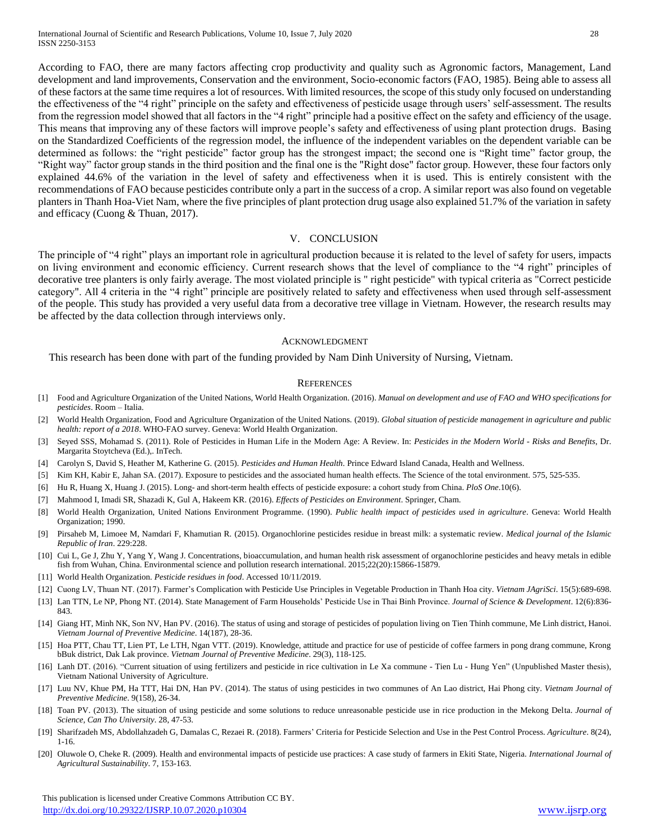According to FAO, there are many factors affecting crop productivity and quality such as Agronomic factors, Management, Land development and land improvements, Conservation and the environment, Socio-economic factors (FAO, 1985). Being able to assess all of these factors at the same time requires a lot of resources. With limited resources, the scope of this study only focused on understanding the effectiveness of the "4 right" principle on the safety and effectiveness of pesticide usage through users' self-assessment. The results from the regression model showed that all factors in the "4 right" principle had a positive effect on the safety and efficiency of the usage. This means that improving any of these factors will improve people's safety and effectiveness of using plant protection drugs. Basing on the Standardized Coefficients of the regression model, the influence of the independent variables on the dependent variable can be determined as follows: the "right pesticide" factor group has the strongest impact; the second one is "Right time" factor group, the "Right way" factor group stands in the third position and the final one is the "Right dose" factor group. However, these four factors only explained 44.6% of the variation in the level of safety and effectiveness when it is used. This is entirely consistent with the recommendations of FAO because pesticides contribute only a part in the success of a crop. A similar report was also found on vegetable planters in Thanh Hoa-Viet Nam, where the five principles of plant protection drug usage also explained 51.7% of the variation in safety and efficacy (Cuong & Thuan, 2017).

## V. CONCLUSION

The principle of "4 right" plays an important role in agricultural production because it is related to the level of safety for users, impacts on living environment and economic efficiency. Current research shows that the level of compliance to the "4 right" principles of decorative tree planters is only fairly average. The most violated principle is " right pesticide" with typical criteria as "Correct pesticide category". All 4 criteria in the "4 right" principle are positively related to safety and effectiveness when used through self-assessment of the people. This study has provided a very useful data from a decorative tree village in Vietnam. However, the research results may be affected by the data collection through interviews only.

#### ACKNOWLEDGMENT

This research has been done with part of the funding provided by Nam Dinh University of Nursing, Vietnam.

#### **REFERENCES**

- [1] Food and Agriculture Organization of the United Nations, World Health Organization. (2016). *Manual on development and use of FAO and WHO specifications for pesticides*. Room – Italia.
- [2] World Health Organization, Food and Agriculture Organization of the United Nations. (2019). *Global situation of pesticide management in agriculture and public health: report of a 2018*. WHO-FAO survey. Geneva: World Health Organization.
- [3] Seyed SSS, Mohamad S. (2011). Role of Pesticides in Human Life in the Modern Age: A Review. In: *Pesticides in the Modern World - Risks and Benefits*, Dr. Margarita Stoytcheva (Ed.),. InTech.
- [4] Carolyn S, David S, Heather M, Katherine G. (2015). *Pesticides and Human Health.* Prince Edward Island Canada, Health and Wellness.
- [5] Kim KH, Kabir E, Jahan SA. (2017). Exposure to pesticides and the associated human health effects. The Science of the total environment. 575, 525-535.
- [6] Hu R, Huang X, Huang J. (2015). Long- and short-term health effects of pesticide exposure: a cohort study from China. *PloS One*.10(6).
- [7] Mahmood I, Imadi SR, Shazadi K, Gul A, Hakeem KR. (2016). *Effects of Pesticides on Environment*. Springer, Cham.
- [8] World Health Organization, United Nations Environment Programme. (1990). *Public health impact of pesticides used in agriculture*. Geneva: World Health Organization; 1990.
- [9] Pirsaheb M, Limoee M, Namdari F, Khamutian R. (2015). Organochlorine pesticides residue in breast milk: a systematic review. *Medical journal of the Islamic Republic of Iran*. 229:228.
- [10] Cui L, Ge J, Zhu Y, Yang Y, Wang J. Concentrations, bioaccumulation, and human health risk assessment of organochlorine pesticides and heavy metals in edible fish from Wuhan, China. Environmental science and pollution research international. 2015;22(20):15866-15879.
- [11] World Health Organization. *Pesticide residues in food*. Accessed 10/11/2019.
- [12] Cuong LV, Thuan NT. (2017). Farmer's Complication with Pesticide Use Principles in Vegetable Production in Thanh Hoa city. *Vietnam JAgriSci*. 15(5):689-698.
- [13] Lan TTN, Le NP, Phong NT. (2014). State Management of Farm Households' Pesticide Use in Thai Binh Province. *Journal of Science & Development*. 12(6):836- 843.
- [14] Giang HT, Minh NK, Son NV, Han PV. (2016). The status of using and storage of pesticides of population living on Tien Thinh commune, Me Linh district, Hanoi. *Vietnam Journal of Preventive Medicine*. 14(187), 28-36.
- [15] Hoa PTT, Chau TT, Lien PT, Le LTH, Ngan VTT. (2019). Knowledge, attitude and practice for use of pesticide of coffee farmers in pong drang commune, Krong bBuk district, Dak Lak province. *Vietnam Journal of Preventive Medicine*. 29(3), 118-125.
- [16] Lanh DT. (2016). "Current situation of using fertilizers and pesticide in rice cultivation in Le Xa commune Tien Lu Hung Yen" (Unpublished Master thesis), Vietnam National University of Agriculture.
- [17] Luu NV, Khue PM, Ha TTT, Hai DN, Han PV. (2014). The status of using pesticides in two communes of An Lao district, Hai Phong city. *Vietnam Journal of Preventive Medicine*. 9(158), 26-34.
- [18] Toan PV. (2013). The situation of using pesticide and some solutions to reduce unreasonable pesticide use in rice production in the Mekong Delta. *Journal of Science, Can Tho University*. 28, 47-53.
- [19] Sharifzadeh MS, Abdollahzadeh G, Damalas C, Rezaei R. (2018). Farmers' Criteria for Pesticide Selection and Use in the Pest Control Process. *Agriculture*. 8(24), 1-16.
- [20] Oluwole O, Cheke R. (2009). Health and environmental impacts of pesticide use practices: A case study of farmers in Ekiti State, Nigeria. *International Journal of Agricultural Sustainability*. 7, 153-163.